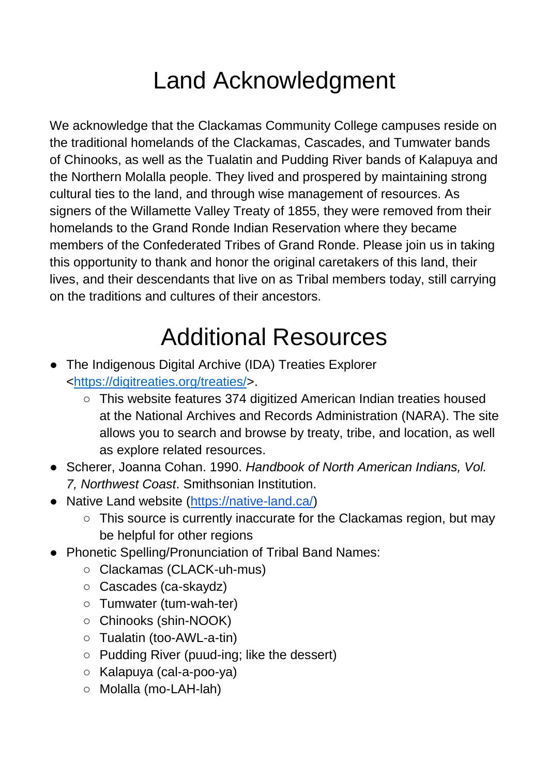## Land Acknowledgment

We acknowledge that the Clackamas Community College campuses reside on the traditional homelands of the Clackamas, Cascades, and Tumwater bands of Chinooks, as well as the Tualatin and Pudding River bands of Kalapuya and the Northern Molalla people. They lived and prospered by maintaining strong cultural ties to the land, and through wise management of resources. As signers of the Willamette Valley Treaty of 1855, they were removed from their homelands to the Grand Ronde Indian Reservation where they became members of the Confederated Tribes of Grand Ronde. Please join us in taking this opportunity to thank and honor the original caretakers of this land, their lives, and their descendants that live on as Tribal members today, still carrying on the traditions and cultures of their ancestors.

## Additional Resources

- The Indigenous Digital Archive (IDA) Treaties Explorer [<https://digitreaties.org/treaties/>](https://digitreaties.org/treaties/).
	- This website features 374 digitized American Indian treaties housed at the National Archives and Records Administration (NARA). The site allows you to search and browse by treaty, tribe, and location, as well as explore related resources.
- Scherer, Joanna Cohan. 1990. *Handbook of North American Indians, Vol. 7, Northwest Coast*. Smithsonian Institution.
- Native Land website [\(https://native-land.ca/\)](https://native-land.ca/)
	- This source is currently inaccurate for the Clackamas region, but may be helpful for other regions
- Phonetic Spelling/Pronunciation of Tribal Band Names:
	- Clackamas (CLACK-uh-mus)
	- Cascades (ca-skaydz)
	- Tumwater (tum-wah-ter)
	- Chinooks (shin-NOOK)
	- Tualatin (too-AWL-a-tin)
	- Pudding River (puud-ing; like the dessert)
	- Kalapuya (cal-a-poo-ya)
	- Molalla (mo-LAH-lah)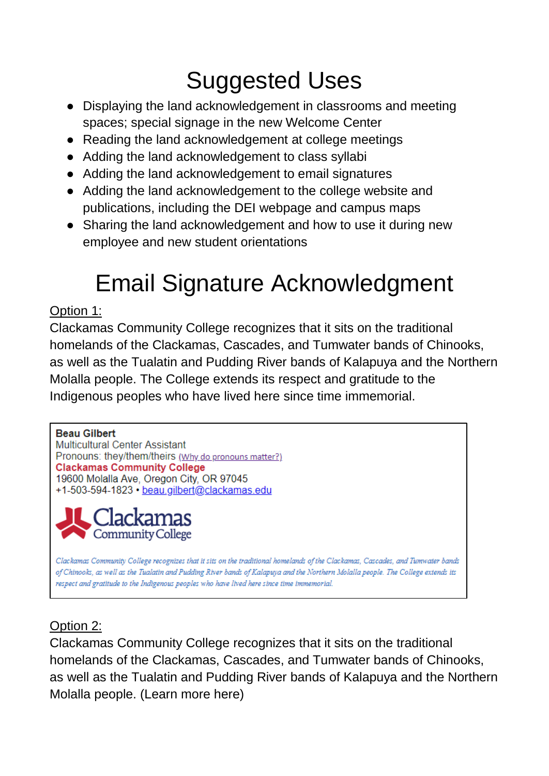# Suggested Uses

- Displaying the land acknowledgement in classrooms and meeting spaces; special signage in the new Welcome Center
- Reading the land acknowledgement at college meetings
- Adding the land acknowledgement to class syllabi
- Adding the land acknowledgement to email signatures
- Adding the land acknowledgement to the college website and publications, including the DEI webpage and campus maps
- Sharing the land acknowledgement and how to use it during new employee and new student orientations

# Email Signature Acknowledgment

### Option 1:

Clackamas Community College recognizes that it sits on the traditional homelands of the Clackamas, Cascades, and Tumwater bands of Chinooks, as well as the Tualatin and Pudding River bands of Kalapuya and the Northern Molalla people. The College extends its respect and gratitude to the Indigenous peoples who have lived here since time immemorial.

#### **Beau Gilbert**

Multicultural Center Assistant Pronouns: they/them/theirs (Why do pronouns matter?) **Clackamas Community College** 19600 Molalla Ave, Oregon City, OR 97045 +1-503-594-1823 · beau.gilbert@clackamas.edu



Clackamas Community College recognizes that it sits on the traditional homelands of the Clackamas, Cascades, and Tumwater bands of Chinooks, as well as the Tualatin and Pudding River bands of Kalapuya and the Northern Molalla people. The College extends its respect and gratitude to the Indigenous peoples who have lived here since time immemorial.

## Option 2:

Clackamas Community College recognizes that it sits on the traditional homelands of the Clackamas, Cascades, and Tumwater bands of Chinooks, as well as the Tualatin and Pudding River bands of Kalapuya and the Northern Molalla people. (Learn more here)